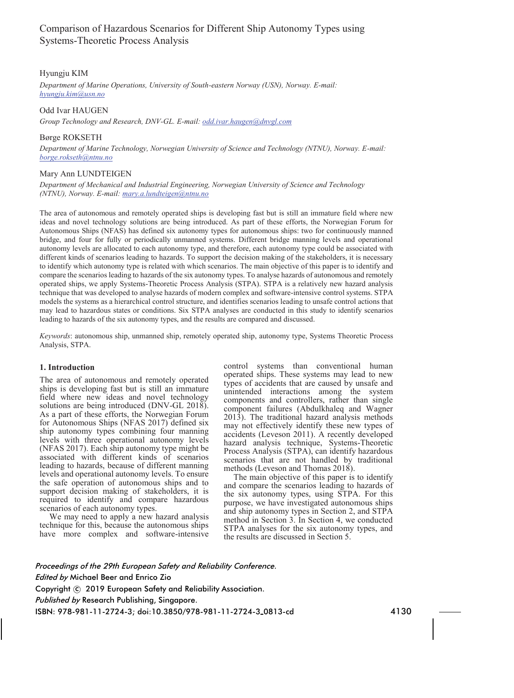# Comparison of Hazardous Scenarios for Different Ship Autonomy Types using Systems-Theoretic Process Analysis

# Hyungju KIM

*Department of Marine Operations, University of South-eastern Norway (USN), Norway. E-mail: hyungju.kim@usn.no* 

# Odd Ivar HAUGEN

*Group Technology and Research, DNV-GL. E-mail: odd.ivar.haugen@dnvgl.com* 

# Børge ROKSETH

*Department of Marine Technology, Norwegian University of Science and Technology (NTNU), Norway. E-mail: borge.rokseth@ntnu.no* 

#### Mary Ann LUNDTEIGEN

*Department of Mechanical and Industrial Engineering, Norwegian University of Science and Technology (NTNU), Norway. E-mail: mary.a.lundteigen@ntnu.no* 

The area of autonomous and remotely operated ships is developing fast but is still an immature field where new ideas and novel technology solutions are being introduced. As part of these efforts, the Norwegian Forum for Autonomous Ships (NFAS) has defined six autonomy types for autonomous ships: two for continuously manned bridge, and four for fully or periodically unmanned systems. Different bridge manning levels and operational autonomy levels are allocated to each autonomy type, and therefore, each autonomy type could be associated with different kinds of scenarios leading to hazards. To support the decision making of the stakeholders, it is necessary to identify which autonomy type is related with which scenarios. The main objective of this paper is to identify and compare the scenarios leading to hazards of the six autonomy types. To analyse hazards of autonomous and remotely operated ships, we apply Systems-Theoretic Process Analysis (STPA). STPA is a relatively new hazard analysis technique that was developed to analyse hazards of modern complex and software-intensive control systems. STPA models the systems as a hierarchical control structure, and identifies scenarios leading to unsafe control actions that may lead to hazardous states or conditions. Six STPA analyses are conducted in this study to identify scenarios leading to hazards of the six autonomy types, and the results are compared and discussed.

*Keywords*: autonomous ship, unmanned ship, remotely operated ship, autonomy type, Systems Theoretic Process Analysis, STPA.

# **1. Introduction**

The area of autonomous and remotely operated ships is developing fast but is still an immature field where new ideas and novel technology solutions are being introduced (DNV-GL 2018). As a part of these efforts, the Norwegian Forum for Autonomous Ships (NFAS 2017) defined six ship autonomy types combining four manning levels with three operational autonomy levels (NFAS 2017). Each ship autonomy type might be associated with different kinds of scenarios leading to hazards, because of different manning levels and operational autonomy levels. To ensure the safe operation of autonomous ships and to support decision making of stakeholders, it is required to identify and compare hazardous scenarios of each autonomy types.

We may need to apply a new hazard analysis technique for this, because the autonomous ships have more complex and software-intensive control systems than conventional human operated ships. These systems may lead to new types of accidents that are caused by unsafe and unintended interactions among the system components and controllers, rather than single component failures (Abdulkhaleq and Wagner 2013). The traditional hazard analysis methods may not effectively identify these new types of accidents (Leveson 2011). A recently developed hazard analysis technique, Systems-Theoretic Process Analysis (STPA), can identify hazardous scenarios that are not handled by traditional methods (Leveson and Thomas 2018).

The main objective of this paper is to identify and compare the scenarios leading to hazards of the six autonomy types, using STPA. For this purpose, we have investigated autonomous ships and ship autonomy types in Section 2, and STPA method in Section 3. In Section 4, we conducted STPA analyses for the six autonomy types, and the results are discussed in Section 5.

*Proceedings of the 29th European Safety and Reliability Conference. Edited by* Michael Beer and Enrico Zio Copyright  $\odot$  2019 European Safety and Reliability Association. *Published by* Research Publishing, Singapore. ISBN: 978-981-11-2724-3; doi:10.3850/978-981-11-2724-3 0813-cd 4130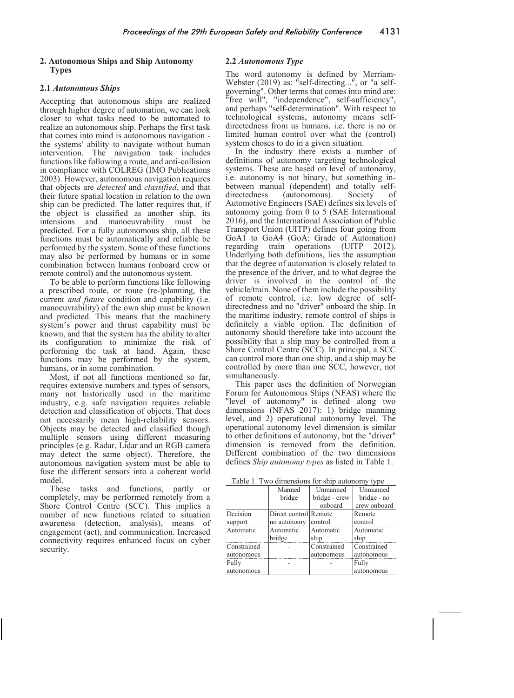#### **2. Autonomous Ships and Ship Autonomy Types**

# **2.1** *Autonomous Ships*

Accepting that autonomous ships are realized through higher degree of automation, we can look closer to what tasks need to be automated to realize an autonomous ship. Perhaps the first task that comes into mind is autonomous navigation the systems' ability to navigate without human intervention. The navigation task includes functions like following a route, and anti-collision in compliance with COLREG (IMO Publications 2003). However, autonomous navigation requires that objects are *detected* and *classified*, and that their future spatial location in relation to the own ship can be predicted. The latter requires that, if the object is classified as another ship, its intensions and manoeuvrability must be predicted. For a fully autonomous ship, all these functions must be automatically and reliable be performed by the system. Some of these functions may also be performed by humans or in some combination between humans (onboard crew or remote control) and the autonomous system.

To be able to perform functions like following a prescribed route, or route (re-)planning, the current *and future* condition and capability (i.e. manoeuvrability) of the own ship must be known and predicted. This means that the machinery system's power and thrust capability must be known, and that the system has the ability to alter its configuration to minimize the risk of performing the task at hand. Again, these functions may be performed by the system, humans, or in some combination.

Most, if not all functions mentioned so far, requires extensive numbers and types of sensors, many not historically used in the maritime industry, e.g. safe navigation requires reliable detection and classification of objects. That does not necessarily mean high-reliability sensors. Objects may be detected and classified though multiple sensors using different measuring principles (e.g. Radar, Lidar and an RGB camera may detect the same object). Therefore, the autonomous navigation system must be able to fuse the different sensors into a coherent world model.

These tasks and functions, partly or completely, may be performed remotely from a Shore Control Centre (SCC). This implies a number of new functions related to situation awareness (detection, analysis), means of engagement (act), and communication. Increased connectivity requires enhanced focus on cyber security.

# **2.2** *Autonomous Type*

The word autonomy is defined by Merriam-Webster (2019) as: "self-directing...", or "a selfgoverning". Other terms that comes into mind are: "free will", "independence", self-sufficiency", and perhaps "self-determination". With respect to technological systems, autonomy means selfdirectedness from us humans, i.e. there is no or limited human control over what the (control) system choses to do in a given situation.

In the industry there exists a number of definitions of autonomy targeting technological systems. These are based on level of autonomy, i.e. autonomy is not binary, but something inbetween manual (dependent) and totally selfdirectedness (autonomous). Society of Automotive Engineers (SAE) defines six levels of autonomy going from 0 to 5 (SAE International 2016), and the International Association of Public Transport Union (UITP) defines four going from GoA1 to GoA4 (GoA: Grade of Automation) regarding train operations (UITP 2012). Underlying both definitions, lies the assumption that the degree of automation is closely related to the presence of the driver, and to what degree the driver is involved in the control of the vehicle/train. None of them include the possibility of remote control, i.e. low degree of selfdirectedness and no "driver" onboard the ship. In the maritime industry, remote control of ships is definitely a viable option. The definition of autonomy should therefore take into account the possibility that a ship may be controlled from a Shore Control Centre (SCC). In principal, a SCC can control more than one ship, and a ship may be controlled by more than one SCC, however, not simultaneously.

This paper uses the definition of Norwegian Forum for Autonomous Ships (NFAS) where the "level of autonomy" is defined along two dimensions (NFAS 2017): 1) bridge manning level, and 2) operational autonomy level. The operational autonomy level dimension is similar to other definitions of autonomy, but the "driver" dimension is removed from the definition. Different combination of the two dimensions defines *Ship autonomy types* as listed in Table 1.

Table 1. Two dimensions for ship autonomy type

|             | Manned                | Unmanned      | Unmanned     |
|-------------|-----------------------|---------------|--------------|
|             | bridge                | bridge - crew | bridge - no  |
|             |                       | onboard       | crew onboard |
| Decision    | Direct control Remote |               | Remote       |
| support     | no autonomy           | control       | control      |
| Automatic   | Automatic             | Automatic     | Automatic    |
|             | bridge                | ship          | ship         |
| Constrained |                       | Constrained   | Constrained  |
| autonomous  |                       | autonomous    | autonomous   |
| Fully       |                       |               | Fully        |
| autonomous  |                       |               | autonomous   |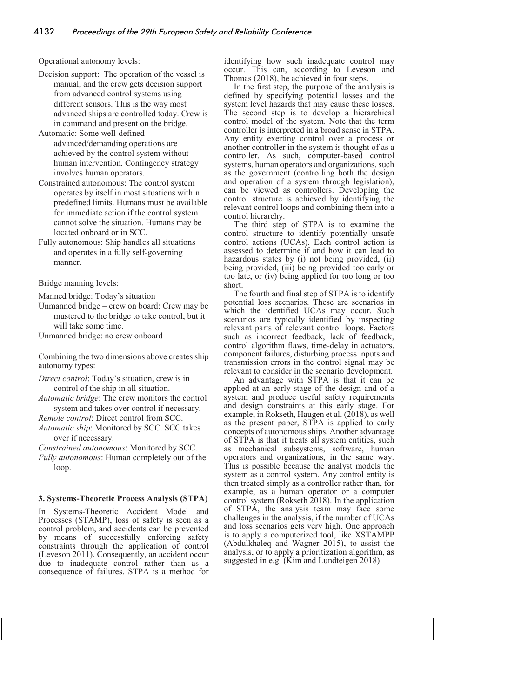Operational autonomy levels:

- Decision support: The operation of the vessel is manual, and the crew gets decision support from advanced control systems using different sensors. This is the way most advanced ships are controlled today. Crew is in command and present on the bridge.
- Automatic: Some well-defined advanced/demanding operations are achieved by the control system without human intervention. Contingency strategy involves human operators.
- Constrained autonomous: The control system operates by itself in most situations within predefined limits. Humans must be available for immediate action if the control system cannot solve the situation. Humans may be located onboard or in SCC.
- Fully autonomous: Ship handles all situations and operates in a fully self-governing manner.

Bridge manning levels:

Manned bridge: Today's situation

Unmanned bridge – crew on board: Crew may be mustered to the bridge to take control, but it will take some time.

Unmanned bridge: no crew onboard

Combining the two dimensions above creates ship autonomy types:

- *Direct control*: Today's situation, crew is in control of the ship in all situation.
- *Automatic bridge*: The crew monitors the control system and takes over control if necessary.
- *Remote control*: Direct control from SCC.
- *Automatic ship*: Monitored by SCC. SCC takes over if necessary.

*Constrained autonomous*: Monitored by SCC.

*Fully autonomous*: Human completely out of the loop.

#### **3. Systems-Theoretic Process Analysis (STPA)**

In Systems-Theoretic Accident Model and Processes (STAMP), loss of safety is seen as a control problem, and accidents can be prevented by means of successfully enforcing safety constraints through the application of control (Leveson 2011). Consequently, an accident occur due to inadequate control rather than as a consequence of failures. STPA is a method for

identifying how such inadequate control may occur. This can, according to Leveson and Thomas (2018), be achieved in four steps.

In the first step, the purpose of the analysis is defined by specifying potential losses and the system level hazards that may cause these losses. The second step is to develop a hierarchical control model of the system. Note that the term controller is interpreted in a broad sense in STPA. Any entity exerting control over a process or another controller in the system is thought of as a controller. As such, computer-based control systems, human operators and organizations, such as the government (controlling both the design and operation of a system through legislation), can be viewed as controllers. Developing the control structure is achieved by identifying the relevant control loops and combining them into a control hierarchy.

The third step of STPA is to examine the control structure to identify potentially unsafe control actions (UCAs). Each control action is assessed to determine if and how it can lead to hazardous states by (i) not being provided, (ii) being provided, (iii) being provided too early or too late, or (iv) being applied for too long or too short.

The fourth and final step of STPA is to identify potential loss scenarios. These are scenarios in which the identified UCAs may occur. Such scenarios are typically identified by inspecting relevant parts of relevant control loops. Factors such as incorrect feedback, lack of feedback, control algorithm flaws, time-delay in actuators, component failures, disturbing process inputs and transmission errors in the control signal may be relevant to consider in the scenario development.

An advantage with STPA is that it can be applied at an early stage of the design and of a system and produce useful safety requirements and design constraints at this early stage. For example, in Rokseth, Haugen et al. (2018), as well as the present paper, STPA is applied to early concepts of autonomous ships. Another advantage of STPA is that it treats all system entities, such as mechanical subsystems, software, human operators and organizations, in the same way. This is possible because the analyst models the system as a control system. Any control entity is then treated simply as a controller rather than, for example, as a human operator or a computer control system (Rokseth 2018). In the application of STPA, the analysis team may face some challenges in the analysis, if the number of UCAs and loss scenarios gets very high. One approach is to apply a computerized tool, like XSTAMPP (Abdulkhaleq and Wagner 2015), to assist the analysis, or to apply a prioritization algorithm, as suggested in e.g. (Kim and Lundteigen 2018)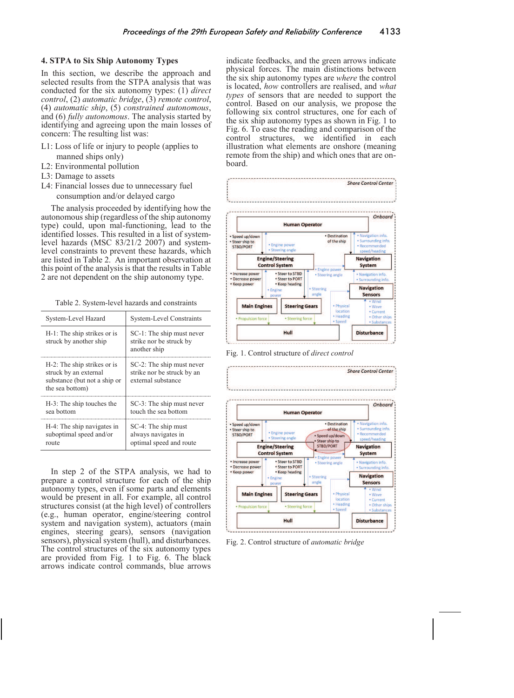#### **4. STPA to Six Ship Autonomy Types**

In this section, we describe the approach and selected results from the STPA analysis that was conducted for the six autonomy types: (1) *direct control*, (2) *automatic bridge*, (3) *remote control*, (4) *automatic ship*, (5) *constrained autonomous*, and (6) *fully autonomous*. The analysis started by identifying and agreeing upon the main losses of concern: The resulting list was:

- L1: Loss of life or injury to people (applies to manned ships only)
- L2: Environmental pollution
- L3: Damage to assets
- L4: Financial losses due to unnecessary fuel consumption and/or delayed cargo

The analysis proceeded by identifying how the autonomous ship (regardless of the ship autonomy type) could, upon mal-functioning, lead to the identified losses. This resulted in a list of systemlevel hazards (MSC 83/21/2 2007) and systemlevel constraints to prevent these hazards, which are listed in Table 2. An important observation at this point of the analysis is that the results in Table 2 are not dependent on the ship autonomy type.

| Table 2. System-level hazards and constraints |  |
|-----------------------------------------------|--|
|                                               |  |

| System-Level Hazard                                                                                     | <b>System-Level Constraints</b>                                               |  |  |
|---------------------------------------------------------------------------------------------------------|-------------------------------------------------------------------------------|--|--|
| H-1: The ship strikes or is<br>struck by another ship                                                   | SC-1: The ship must never<br>strike nor be struck by<br>another ship          |  |  |
| H-2: The ship strikes or is<br>struck by an external<br>substance (but not a ship or<br>the sea bottom) | SC-2: The ship must never<br>strike nor be struck by an<br>external substance |  |  |
| H-3: The ship touches the<br>sea bottom                                                                 | SC-3: The ship must never<br>touch the sea bottom                             |  |  |
| H-4: The ship navigates in<br>suboptimal speed and/or<br>route                                          | SC-4: The ship must<br>always navigates in<br>optimal speed and route         |  |  |

In step 2 of the STPA analysis, we had to prepare a control structure for each of the ship autonomy types, even if some parts and elements would be present in all. For example, all control structures consist (at the high level) of controllers (e.g., human operator, engine/steering control system and navigation system), actuators (main engines, steering gears), sensors (navigation sensors), physical system (hull), and disturbances. The control structures of the six autonomy types are provided from Fig. 1 to Fig. 6. The black arrows indicate control commands, blue arrows

indicate feedbacks, and the green arrows indicate physical forces. The main distinctions between the six ship autonomy types are *where* the control is located, *how* controllers are realised, and *what types* of sensors that are needed to support the control. Based on our analysis, we propose the following six control structures, one for each of the six ship autonomy types as shown in Fig. 1 to Fig. 6. To ease the reading and comparison of the control structures we identified in each control structures, we identified in each illustration what elements are onshore (meaning remote from the ship) and which ones that are onboard.



Fig. 1. Control structure of *direct control*



Fig. 2. Control structure of *automatic bridge*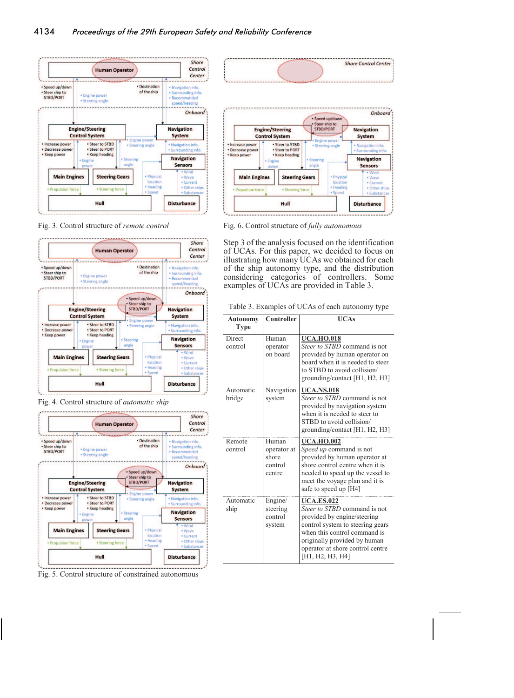

Fig. 3. Control structure of *remote control*



Fig. 4. Control structure of *automatic ship*



Fig. 5. Control structure of constrained autonomous



Fig. 6. Control structure of *fully autonomous*

Step 3 of the analysis focused on the identification of UCAs. For this paper, we decided to focus on illustrating how many UCAs we obtained for each of the ship autonomy type, and the distribution considering categories of controllers. Some examples of UCAs are provided in Table 3.

Table 3. Examples of UCAs of each autonomy type

| <b>Autonomy</b><br><b>Type</b> | Controller                                         | <b>IICAs</b>                                                                                                                                                                                                                                 |
|--------------------------------|----------------------------------------------------|----------------------------------------------------------------------------------------------------------------------------------------------------------------------------------------------------------------------------------------------|
| Direct<br>control              | Human<br>operator<br>on board                      | <b>UCA.HO.018</b><br>Steer to STBD command is not<br>provided by human operator on<br>board when it is needed to steer<br>to STBD to avoid collision/<br>grounding/contact [H1, H2, H3]                                                      |
| Automatic<br>bridge            | Navigation<br>system                               | <b>UCA.NS.018</b><br>Steer to STBD command is not<br>provided by navigation system<br>when it is needed to steer to<br>STBD to avoid collision/<br>grounding/contact [H1, H2, H3]                                                            |
| Remote<br>control              | Human<br>operator at<br>shore<br>control<br>centre | <b>UCA.HO.002</b><br><i>Speed up</i> command is not<br>provided by human operator at<br>shore control centre when it is<br>needed to speed up the vessel to<br>meet the voyage plan and it is<br>safe to speed up [H4]                       |
| Automatic<br>ship              | Engine/<br>steering<br>control<br>system           | <b>UCA.ES.022</b><br>Steer to STBD command is not<br>provided by engine/steering<br>control system to steering gears<br>when this control command is<br>originally provided by human<br>operator at shore control centre<br>[H1, H2, H3, H4] |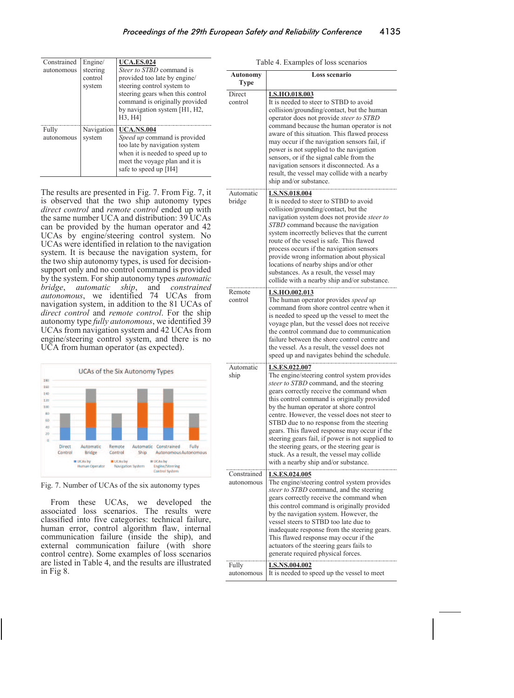| Constrained | Engine/    | <b>UCA.ES.024</b>                                                                                                                                            |
|-------------|------------|--------------------------------------------------------------------------------------------------------------------------------------------------------------|
| autonomous  | steering   | Steer to STBD command is                                                                                                                                     |
|             | control    | provided too late by engine/                                                                                                                                 |
|             | system     | steering control system to                                                                                                                                   |
|             |            | steering gears when this control<br>command is originally provided<br>by navigation system [H1, H2,<br>H3, H41                                               |
| Fully       | Navigation | <b>UCA.NS.004</b>                                                                                                                                            |
| autonomous  | system     | Speed up command is provided<br>too late by navigation system<br>when it is needed to speed up to<br>meet the voyage plan and it is<br>safe to speed up [H4] |

The results are presented in Fig. 7. From Fig. 7, it is observed that the two ship autonomy types *direct control* and *remote control* ended up with the same number UCA and distribution: 39 UCAs can be provided by the human operator and 42 UCAs by engine/steering control system. No UCAs were identified in relation to the navigation system. It is because the navigation system, for the two ship autonomy types, is used for decisionsupport only and no control command is provided by the system. For ship autonomy types *automatic bridge*, *automatic ship*, and *constrained autonomous*, we identified 74 UCAs from navigation system, in addition to the 81 UCAs of *direct control* and *remote control*. For the ship autonomy type *fully autonomous*, we identified 39 UCAs from navigation system and 42 UCAs from engine/steering control system, and there is no UCA from human operator (as expected).



Fig. 7. Number of UCAs of the six autonomy types

From these UCAs, we developed the associated loss scenarios. The results were classified into five categories: technical failure, human error, control algorithm flaw, internal communication failure (inside the ship), and external communication failure (with shore control centre). Some examples of loss scenarios are listed in Table 4, and the results are illustrated in Fig 8.

|  |  | Table 4. Examples of loss scenarios |
|--|--|-------------------------------------|
|  |  |                                     |
|  |  |                                     |

| Autonomy<br><b>Type</b>   | <b>Loss scenario</b>                                                                                                                                                                                                                                                                                                                                                                                                                                                                                                                                                                      |
|---------------------------|-------------------------------------------------------------------------------------------------------------------------------------------------------------------------------------------------------------------------------------------------------------------------------------------------------------------------------------------------------------------------------------------------------------------------------------------------------------------------------------------------------------------------------------------------------------------------------------------|
| Direct<br>control         | <b>LS.HO.018.003</b><br>It is needed to steer to STBD to avoid<br>collision/grounding/contact, but the human<br>operator does not provide steer to STBD<br>command because the human operator is not<br>aware of this situation. This flawed process<br>may occur if the navigation sensors fail, if<br>power is not supplied to the navigation<br>sensors, or if the signal cable from the<br>navigation sensors it disconnected. As a<br>result, the vessel may collide with a nearby<br>ship and/or substance.                                                                         |
| Automatic<br>bridge       | <b>LS.NS.018.004</b><br>It is needed to steer to STBD to avoid<br>collision/grounding/contact, but the<br>navigation system does not provide steer to<br><i>STBD</i> command because the navigation<br>system incorrectly believes that the current<br>route of the vessel is safe. This flawed<br>process occurs if the navigation sensors<br>provide wrong information about physical<br>locations of nearby ships and/or other<br>substances. As a result, the vessel may<br>collide with a nearby ship and/or substance.                                                              |
| Remote<br>control         | <u>LS.HO.002.013</u><br>The human operator provides speed up<br>command from shore control centre when it<br>is needed to speed up the vessel to meet the<br>voyage plan, but the vessel does not receive<br>the control command due to communication<br>failure between the shore control centre and<br>the vessel. As a result, the vessel does not<br>speed up and navigates behind the schedule.                                                                                                                                                                                      |
| Automatic<br>ship         | <u>LS.ES.022.007</u><br>The engine/steering control system provides<br>steer to STBD command, and the steering<br>gears correctly receive the command when<br>this control command is originally provided<br>by the human operator at shore control<br>centre. However, the vessel does not steer to<br>STBD due to no response from the steering<br>gears. This flawed response may occur if the<br>steering gears fail, if power is not supplied to<br>the steering gears, or the steering gear is<br>stuck. As a result, the vessel may collide<br>with a nearby ship and/or substance |
| Constrained<br>autonomous | <u>LS.ES.024.005</u><br>The engine/steering control system provides<br>steer to STBD command, and the steering<br>gears correctly receive the command when<br>this control command is originally provided<br>by the navigation system. However, the<br>vessel steers to STBD too late due to<br>inadequate response from the steering gears.<br>This flawed response may occur if the<br>actuators of the steering gears fails to<br>generate required physical forces.                                                                                                                   |
| Fully<br>autonomous       | <u>LS.NS.004.002</u><br>It is needed to speed up the vessel to meet                                                                                                                                                                                                                                                                                                                                                                                                                                                                                                                       |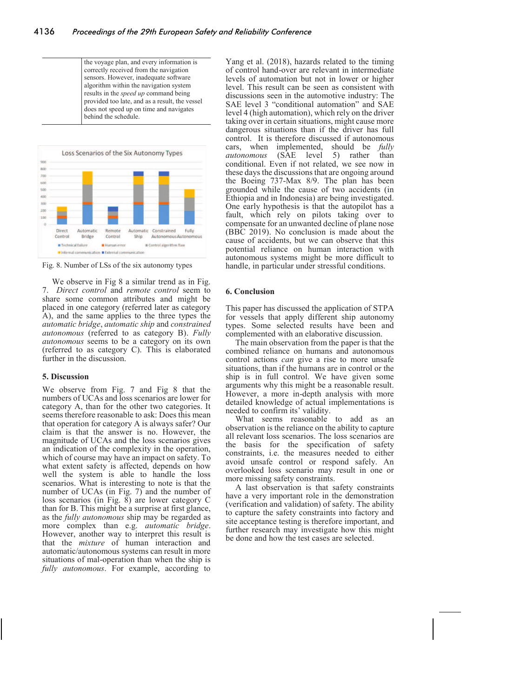the voyage plan, and every information is correctly received from the navigation sensors. However, inadequate software algorithm within the navigation system results in the *speed up* command being provided too late, and as a result, the vessel does not speed up on time and navigates behind the schedule.



Fig. 8. Number of LSs of the six autonomy types

We observe in Fig 8 a similar trend as in Fig. 7. *Direct control* and *remote control* seem to share some common attributes and might be placed in one category (referred later as category A), and the same applies to the three types the *automatic bridge*, *automatic ship* and *constrained autonomous* (referred to as category B). *Fully autonomous* seems to be a category on its own (referred to as category C). This is elaborated further in the discussion.

# **5. Discussion**

We observe from Fig. 7 and Fig 8 that the numbers of UCAs and loss scenarios are lower for category A, than for the other two categories. It seems therefore reasonable to ask: Does this mean that operation for category A is always safer? Our claim is that the answer is no. However, the magnitude of UCAs and the loss scenarios gives an indication of the complexity in the operation, which of course may have an impact on safety. To what extent safety is affected, depends on how well the system is able to handle the loss scenarios. What is interesting to note is that the number of UCAs (in Fig. 7) and the number of loss scenarios (in Fig. 8) are lower category C than for B. This might be a surprise at first glance, as the *fully autonomous* ship may be regarded as more complex than e.g. *automatic bridge*. However, another way to interpret this result is that the *mixture* of human interaction and automatic/autonomous systems can result in more situations of mal-operation than when the ship is *fully autonomous*. For example, according to Yang et al. (2018), hazards related to the timing of control hand-over are relevant in intermediate levels of automation but not in lower or higher level. This result can be seen as consistent with discussions seen in the automotive industry: The SAE level 3 "conditional automation" and SAE level 4 (high automation), which rely on the driver taking over in certain situations, might cause more dangerous situations than if the driver has full control. It is therefore discussed if autonomous cars, when implemented, should be *fully autonomous* (SAE level 5) rather than conditional. Even if not related, we see now in these days the discussions that are ongoing around the Boeing 737-Max 8/9. The plan has been grounded while the cause of two accidents (in Ethiopia and in Indonesia) are being investigated. One early hypothesis is that the autopilot has a fault, which rely on pilots taking over to compensate for an unwanted decline of plane nose (BBC 2019). No conclusion is made about the cause of accidents, but we can observe that this potential reliance on human interaction with autonomous systems might be more difficult to handle, in particular under stressful conditions.

# **6. Conclusion**

This paper has discussed the application of STPA for vessels that apply different ship autonomy types. Some selected results have been and complemented with an elaborative discussion.

The main observation from the paper is that the combined reliance on humans and autonomous control actions *can* give a rise to more unsafe situations, than if the humans are in control or the ship is in full control. We have given some arguments why this might be a reasonable result. However, a more in-depth analysis with more detailed knowledge of actual implementations is needed to confirm its' validity.

What seems reasonable to add as an observation is the reliance on the ability to capture all relevant loss scenarios. The loss scenarios are the basis for the specification of safety constraints, i.e. the measures needed to either avoid unsafe control or respond safely. An overlooked loss scenario may result in one or more missing safety constraints.

A last observation is that safety constraints have a very important role in the demonstration (verification and validation) of safety. The ability to capture the safety constraints into factory and site acceptance testing is therefore important, and further research may investigate how this might be done and how the test cases are selected.